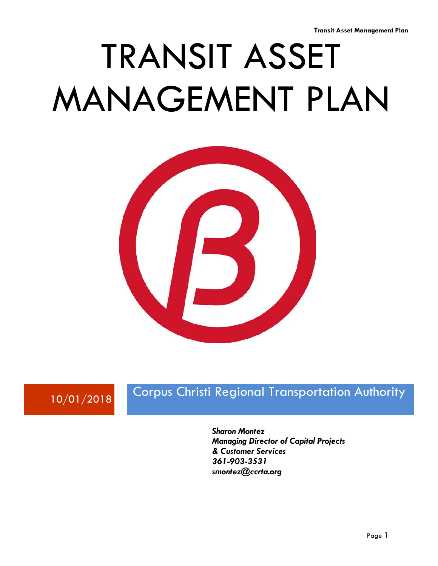# TRANSIT ASSET MANAGEMENT PLAN



## 10/01/2018 Corpus Christi Regional Transportation Authority

*Sharon Montez Managing Director of Capital Projects & Customer Services 361-903-3531 smontez@ccrta.org*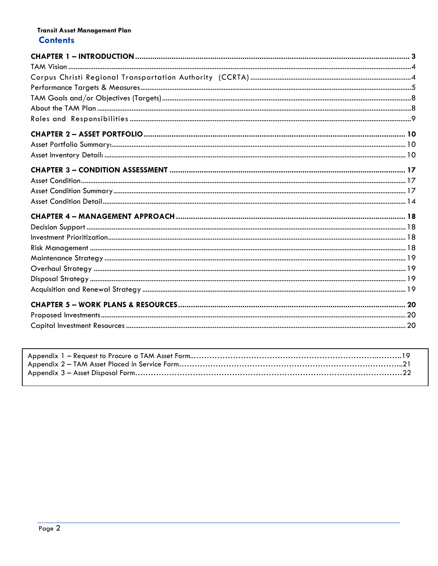#### Transit Asset Management Plan **Contents**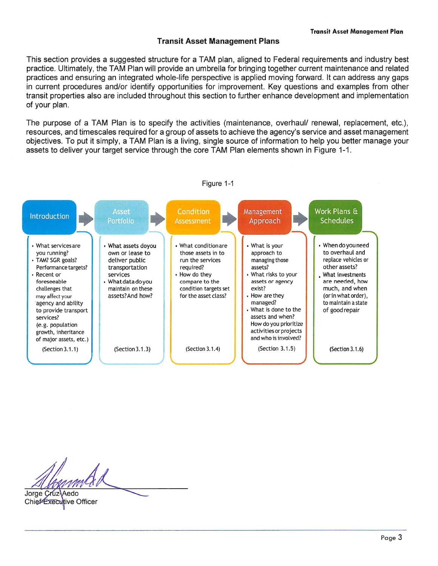This section provides a suggested structure for a TAM plan, aligned to Federal requirements and industry best practice. Ultimately, the TAM Plan will provide an umbrella for bringing together current maintenance and related practices and ensuring an integrated whole-life perspective is applied moving forward. It can address any gaps in current procedures and/or identify opportunities for improvement. Key questions and examples from other transit properties also are included throughout this section to further enhance development and implementation of your plan.

The purpose of a TAM Plan is to specify the activities (maintenance, overhaul/ renewal, replacement, etc.), resources. and timescales required for a group of assets to achieve the agency's service and asset management objectives. To put it simply, a TAM Plan is a living, single source of information to help you better manage your assets to deliver your target service through the core TAM Plan elements shown in Figure 1-1.



Jorge Cruz-Aedo

Chief Executive Officer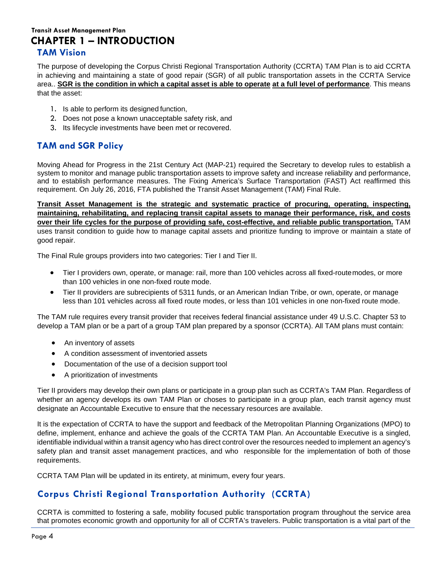#### **Transit Asset Management Plan CHAPTER 1 – INTRODUCTION TAM Vision**

<span id="page-3-0"></span>The purpose of developing the Corpus Christi Regional Transportation Authority (CCRTA) TAM Plan is to aid CCRTA in achieving and maintaining a state of good repair (SGR) of all public transportation assets in the CCRTA Service area.. **SGR is the condition in which a capital asset is able to operate at a full level of performance**. This means that the asset:

- 1. Is able to perform its designed function,
- 2. Does not pose a known unacceptable safety risk, and
- 3. Its lifecycle investments have been met or recovered.

## **TAM and SGR Policy**

Moving Ahead for Progress in the 21st Century Act (MAP-21) required the Secretary to develop rules to establish a system to monitor and manage public transportation assets to improve safety and increase reliability and performance, and to establish performance measures. The Fixing America's Surface Transportation (FAST) Act reaffirmed this requirement. On July 26, 2016, FTA published the Transit Asset Management (TAM) Final Rule.

**Transit Asset Management is the strategic and systematic practice of procuring, operating, inspecting, maintaining, rehabilitating, and replacing transit capital assets to manage their performance, risk, and costs over their life cycles for the purpose of providing safe, cost-effective, and reliable public transportation.** TAM uses transit condition to guide how to manage capital assets and prioritize funding to improve or maintain a state of good repair.

The Final Rule groups providers into two categories: Tier I and Tier II.

- Tier I providers own, operate, or manage: rail, more than 100 vehicles across all fixed-routemodes, or more than 100 vehicles in one non-fixed route mode.
- Tier II providers are subrecipients of 5311 funds, or an American Indian Tribe, or own, operate, or manage less than 101 vehicles across all fixed route modes, or less than 101 vehicles in one non-fixed route mode.

The TAM rule requires every transit provider that receives federal financial assistance under 49 U.S.C. Chapter 53 to develop a TAM plan or be a part of a group TAM plan prepared by a sponsor (CCRTA). All TAM plans must contain:

- An inventory of assets
- A condition assessment of inventoried assets
- Documentation of the use of a decision support tool
- A prioritization of investments

Tier II providers may develop their own plans or participate in a group plan such as CCRTA's TAM Plan. Regardless of whether an agency develops its own TAM Plan or choses to participate in a group plan, each transit agency must designate an Accountable Executive to ensure that the necessary resources are available.

It is the expectation of CCRTA to have the support and feedback of the Metropolitan Planning Organizations (MPO) to define, implement, enhance and achieve the goals of the CCRTA TAM Plan. An Accountable Executive is a singled, identifiable individual within a transit agency who has direct control over the resources needed to implement an agency's safety plan and transit asset management practices, and who responsible for the implementation of both of those requirements.

<span id="page-3-1"></span>CCRTA TAM Plan will be updated in its entirety, at minimum, every four years.

## **Corpus Christi Regional Transportation Authority (CCRTA)**

CCRTA is committed to fostering a safe, mobility focused public transportation program throughout the service area that promotes economic growth and opportunity for all of CCRTA's travelers. Public transportation is a vital part of the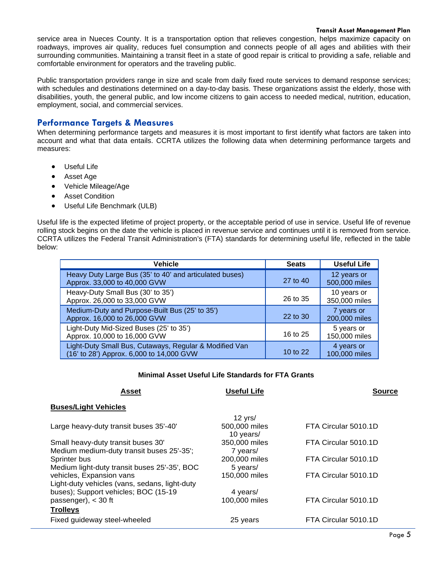service area in Nueces County. It is a transportation option that relieves congestion, helps maximize capacity on roadways, improves air quality, reduces fuel consumption and connects people of all ages and abilities with their surrounding communities. Maintaining a transit fleet in a state of good repair is critical to providing a safe, reliable and comfortable environment for operators and the traveling public.

Public transportation providers range in size and scale from daily fixed route services to demand response services; with schedules and destinations determined on a day-to-day basis. These organizations assist the elderly, those with disabilities, youth, the general public, and low income citizens to gain access to needed medical, nutrition, education, employment, social, and commercial services.

#### <span id="page-4-0"></span>**Performance Targets & Measures**

When determining performance targets and measures it is most important to first identify what factors are taken into account and what that data entails. CCRTA utilizes the following data when determining performance targets and measures:

- Useful Life
- Asset Age
- Vehicle Mileage/Age
- Asset Condition
- Useful Life Benchmark (ULB)

Useful life is the expected lifetime of project property, or the acceptable period of use in service. Useful life of revenue rolling stock begins on the date the vehicle is placed in revenue service and continues until it is removed from service. CCRTA utilizes the Federal Transit Administration's (FTA) standards for determining useful life, reflected in the table below:

| Vehicle                                                                                            | <b>Seats</b> | <b>Useful Life</b>           |
|----------------------------------------------------------------------------------------------------|--------------|------------------------------|
| Heavy Duty Large Bus (35' to 40' and articulated buses)<br>Approx. 33,000 to 40,000 GVW            | 27 to 40     | 12 years or<br>500,000 miles |
| Heavy-Duty Small Bus (30' to 35')<br>Approx. 26,000 to 33,000 GVW                                  | 26 to 35     | 10 years or<br>350,000 miles |
| Medium-Duty and Purpose-Built Bus (25' to 35')<br>Approx. 16,000 to 26,000 GVW                     | 22 to 30     | 7 years or<br>200,000 miles  |
| Light-Duty Mid-Sized Buses (25' to 35')<br>Approx. 10,000 to 16,000 GVW                            | 16 to 25     | 5 years or<br>150,000 miles  |
| Light-Duty Small Bus, Cutaways, Regular & Modified Van<br>(16' to 28') Approx. 6,000 to 14,000 GVW | 10 to 22     | 4 years or<br>100,000 miles  |

#### **Minimal Asset Useful Life Standards for FTA Grants**

**Asset Useful Life Source**

#### **Buses/Light Vehicles**

|                                               | $12 \text{ yrs}$           |                      |
|-----------------------------------------------|----------------------------|----------------------|
| Large heavy-duty transit buses 35'-40'        | 500,000 miles<br>10 years/ | FTA Circular 5010.1D |
| Small heavy-duty transit buses 30'            | 350,000 miles              | FTA Circular 5010.1D |
| Medium medium-duty transit buses 25'-35';     | 7 years/                   |                      |
| Sprinter bus                                  | 200,000 miles              | FTA Circular 5010.1D |
| Medium light-duty transit buses 25'-35', BOC  | 5 years/                   |                      |
| vehicles, Expansion vans                      | 150,000 miles              | FTA Circular 5010.1D |
| Light-duty vehicles (vans, sedans, light-duty |                            |                      |
| buses); Support vehicles; BOC (15-19)         | 4 years/                   |                      |
| passenger), $<$ 30 ft                         | 100,000 miles              | FTA Circular 5010.1D |
| <b>Trolleys</b>                               |                            |                      |
| Fixed guideway steel-wheeled                  | 25 years                   | FTA Circular 5010.1D |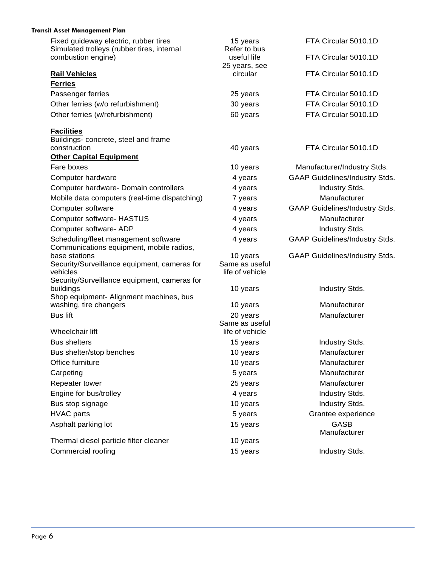| <b>Transit Asset Management Plan</b>                                                |                                   |                                       |
|-------------------------------------------------------------------------------------|-----------------------------------|---------------------------------------|
| Fixed guideway electric, rubber tires<br>Simulated trolleys (rubber tires, internal | 15 years<br>Refer to bus          | FTA Circular 5010.1D                  |
| combustion engine)                                                                  | useful life<br>25 years, see      | FTA Circular 5010.1D                  |
| <b>Rail Vehicles</b>                                                                | circular                          | FTA Circular 5010.1D                  |
| <b>Ferries</b>                                                                      |                                   |                                       |
| Passenger ferries                                                                   | 25 years                          | FTA Circular 5010.1D                  |
| Other ferries (w/o refurbishment)                                                   | 30 years                          | FTA Circular 5010.1D                  |
| Other ferries (w/refurbishment)                                                     | 60 years                          | FTA Circular 5010.1D                  |
| <b>Facilities</b>                                                                   |                                   |                                       |
| Buildings- concrete, steel and frame<br>construction                                |                                   | FTA Circular 5010.1D                  |
| <b>Other Capital Equipment</b>                                                      | 40 years                          |                                       |
| Fare boxes                                                                          | 10 years                          | Manufacturer/Industry Stds.           |
| Computer hardware                                                                   | 4 years                           | <b>GAAP Guidelines/Industry Stds.</b> |
| Computer hardware- Domain controllers                                               | 4 years                           | Industry Stds.                        |
| Mobile data computers (real-time dispatching)                                       | 7 years                           | Manufacturer                          |
| Computer software                                                                   | 4 years                           | <b>GAAP Guidelines/Industry Stds.</b> |
| <b>Computer software- HASTUS</b>                                                    | 4 years                           | Manufacturer                          |
| Computer software- ADP                                                              | 4 years                           | Industry Stds.                        |
| Scheduling/fleet management software                                                | 4 years                           | <b>GAAP Guidelines/Industry Stds.</b> |
| Communications equipment, mobile radios,                                            |                                   |                                       |
| base stations                                                                       | 10 years                          | <b>GAAP Guidelines/Industry Stds.</b> |
| Security/Surveillance equipment, cameras for<br>vehicles                            | Same as useful<br>life of vehicle |                                       |
| Security/Surveillance equipment, cameras for                                        |                                   |                                       |
| buildings<br>Shop equipment- Alignment machines, bus                                | 10 years                          | Industry Stds.                        |
| washing, tire changers                                                              | 10 years                          | Manufacturer                          |
| <b>Bus lift</b>                                                                     | 20 years                          | Manufacturer                          |
|                                                                                     | Same as useful                    |                                       |
| Wheelchair lift                                                                     | life of vehicle                   |                                       |
| <b>Bus shelters</b>                                                                 | 15 years                          | Industry Stds.                        |
| Bus shelter/stop benches                                                            | 10 years                          | Manufacturer                          |
| Office furniture                                                                    | 10 years                          | Manufacturer                          |
| Carpeting                                                                           | 5 years                           | Manufacturer                          |
| Repeater tower                                                                      | 25 years                          | Manufacturer                          |
| Engine for bus/trolley                                                              | 4 years                           | Industry Stds.                        |
| Bus stop signage                                                                    | 10 years                          | Industry Stds.                        |
| <b>HVAC</b> parts                                                                   | 5 years                           | Grantee experience                    |
| Asphalt parking lot                                                                 | 15 years                          | GASB<br>Manufacturer                  |
| Thermal diesel particle filter cleaner                                              | 10 years                          |                                       |
| Commercial roofing                                                                  | 15 years                          | Industry Stds.                        |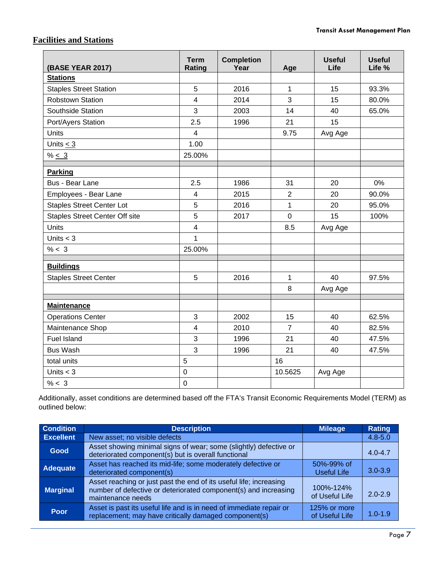## **Facilities and Stations**

| <b>(BASE YEAR 2017)</b>               | <b>Term</b><br>Rating | <b>Completion</b><br>Year | Age            | <b>Useful</b><br>Life | <b>Useful</b><br>Life % |
|---------------------------------------|-----------------------|---------------------------|----------------|-----------------------|-------------------------|
| <b>Stations</b>                       |                       |                           |                |                       |                         |
| <b>Staples Street Station</b>         | 5                     | 2016                      | 1              | 15                    | 93.3%                   |
| <b>Robstown Station</b>               | 4                     | 2014                      | 3              | 15                    | 80.0%                   |
| Southside Station                     | 3                     | 2003                      | 14             | 40                    | 65.0%                   |
| Port/Ayers Station                    | 2.5                   | 1996                      | 21             | 15                    |                         |
| <b>Units</b>                          | 4                     |                           | 9.75           | Avg Age               |                         |
| Units $\leq$ 3                        | 1.00                  |                           |                |                       |                         |
| % < 3                                 | 25.00%                |                           |                |                       |                         |
| <b>Parking</b>                        |                       |                           |                |                       |                         |
| Bus - Bear Lane                       | 2.5                   | 1986                      | 31             | 20                    | 0%                      |
| Employees - Bear Lane                 | $\overline{4}$        | 2015                      | $\overline{2}$ | 20                    | 90.0%                   |
| <b>Staples Street Center Lot</b>      | 5                     | 2016                      | $\mathbf{1}$   | 20                    | 95.0%                   |
| <b>Staples Street Center Off site</b> | 5                     | 2017                      | $\overline{0}$ | 15                    | 100%                    |
| <b>Units</b>                          | $\overline{4}$        |                           | 8.5            | Avg Age               |                         |
| Units $<$ 3                           | 1                     |                           |                |                       |                         |
| % < 3                                 | 25.00%                |                           |                |                       |                         |
| <b>Buildings</b>                      |                       |                           |                |                       |                         |
| <b>Staples Street Center</b>          | 5                     | 2016                      | $\mathbf{1}$   | 40                    | 97.5%                   |
|                                       |                       |                           | 8              | Avg Age               |                         |
| <b>Maintenance</b>                    |                       |                           |                |                       |                         |
| <b>Operations Center</b>              | 3                     | 2002                      | 15             | 40                    | 62.5%                   |
| Maintenance Shop                      | $\overline{4}$        | 2010                      | $\overline{7}$ | 40                    | 82.5%                   |
| <b>Fuel Island</b>                    | 3                     | 1996                      | 21             | 40                    | 47.5%                   |
| <b>Bus Wash</b>                       | 3                     | 1996                      | 21             | 40                    | 47.5%                   |
| total units                           | 5                     |                           | 16             |                       |                         |
| Units $<$ 3                           | $\mathbf 0$           |                           | 10.5625        | Avg Age               |                         |
| % < 3                                 | $\boldsymbol{0}$      |                           |                |                       |                         |

Additionally, asset conditions are determined based off the FTA's Transit Economic Requirements Model (TERM) as outlined below:

| <b>Condition</b> | <b>Description</b>                                                                                                                                         | <b>Mileage</b>                 | <b>Rating</b> |
|------------------|------------------------------------------------------------------------------------------------------------------------------------------------------------|--------------------------------|---------------|
| <b>Excellent</b> | New asset; no visible defects                                                                                                                              |                                | $4.8 - 5.0$   |
| Good             | Asset showing minimal signs of wear; some (slightly) defective or<br>deteriorated component(s) but is overall functional                                   |                                | $4.0 - 4.7$   |
| Adequate         | Asset has reached its mid-life; some moderately defective or<br>deteriorated component(s)                                                                  | 50%-99% of<br>Useful Life      | $3.0 - 3.9$   |
| <b>Marginal</b>  | Asset reaching or just past the end of its useful life; increasing<br>number of defective or deteriorated component(s) and increasing<br>maintenance needs | 100%-124%<br>of Useful Life    | $2.0 - 2.9$   |
| Poor             | Asset is past its useful life and is in need of immediate repair or<br>replacement; may have critically damaged component(s)                               | 125% or more<br>of Useful Life | $1.0 - 1.9$   |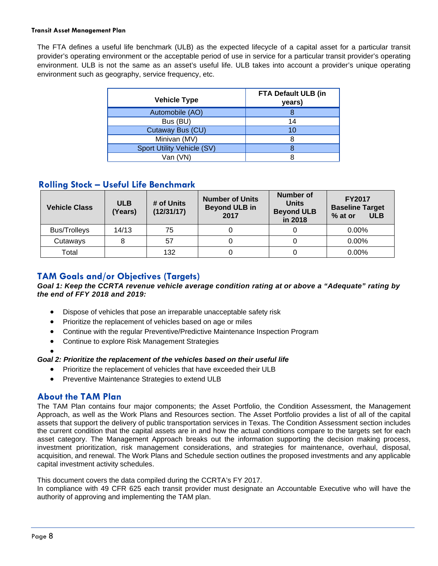The FTA defines a useful life benchmark (ULB) as the expected lifecycle of a capital asset for a particular transit provider's operating environment or the acceptable period of use in service for a particular transit provider's operating environment. ULB is not the same as an asset's useful life. ULB takes into account a provider's unique operating environment such as geography, service frequency, etc.

| <b>Vehicle Type</b>        | FTA Default ULB (in<br>years) |
|----------------------------|-------------------------------|
| Automobile (AO)            |                               |
| Bus (BU)                   | 14                            |
| Cutaway Bus (CU)           | 10                            |
| Minivan (MV)               |                               |
| Sport Utility Vehicle (SV) |                               |
| Van (VN)                   |                               |

#### **Rolling Stock – Useful Life Benchmark**

| <b>Vehicle Class</b> | <b>ULB</b><br>(Years) | # of Units<br>(12/31/17) | <b>Number of Units</b><br><b>Beyond ULB in</b><br>2017 | <b>Number of</b><br><b>Units</b><br><b>Beyond ULB</b><br>in 2018 | <b>FY2017</b><br><b>Baseline Target</b><br>% at or<br><b>ULB</b> |  |
|----------------------|-----------------------|--------------------------|--------------------------------------------------------|------------------------------------------------------------------|------------------------------------------------------------------|--|
| <b>Bus/Trolleys</b>  | 14/13                 | 75                       |                                                        |                                                                  | 0.00%                                                            |  |
| Cutaways             |                       | 57                       |                                                        |                                                                  | 0.00%                                                            |  |
| Total                |                       | 132                      |                                                        |                                                                  | 0.00%                                                            |  |

## <span id="page-7-0"></span>**TAM Goals and/or Objectives (Targets)**

#### *Goal 1: Keep the CCRTA revenue vehicle average condition rating at or above a "Adequate" rating by the end of FFY 2018 and 2019:*

- Dispose of vehicles that pose an irreparable unacceptable safety risk
- Prioritize the replacement of vehicles based on age or miles
- Continue with the regular Preventive/Predictive Maintenance Inspection Program
- Continue to explore Risk Management Strategies

#### •

#### *Goal 2: Prioritize the replacement of the vehicles based on their useful life*

- Prioritize the replacement of vehicles that have exceeded their ULB
- Preventive Maintenance Strategies to extend ULB

#### <span id="page-7-1"></span>**About the TAM Plan**

The TAM Plan contains four major components; the Asset Portfolio, the Condition Assessment, the Management Approach, as well as the Work Plans and Resources section. The Asset Portfolio provides a list of all of the capital assets that support the delivery of public transportation services in Texas. The Condition Assessment section includes the current condition that the capital assets are in and how the actual conditions compare to the targets set for each asset category. The Management Approach breaks out the information supporting the decision making process, investment prioritization, risk management considerations, and strategies for maintenance, overhaul, disposal, acquisition, and renewal. The Work Plans and Schedule section outlines the proposed investments and any applicable capital investment activity schedules.

This document covers the data compiled during the CCRTA's FY 2017.

<span id="page-7-2"></span>In compliance with 49 CFR 625 each transit provider must designate an Accountable Executive who will have the authority of approving and implementing the TAM plan.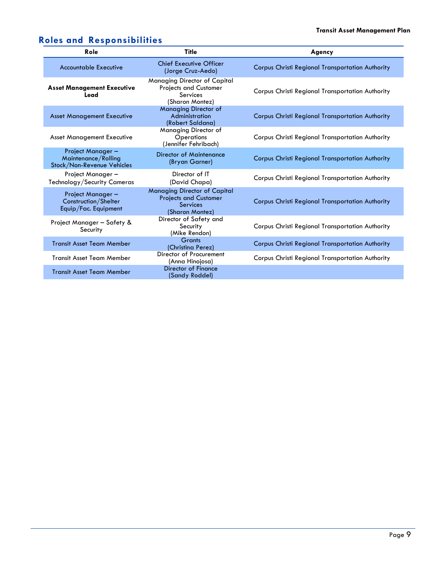## **Roles and Responsibilities**

<span id="page-8-0"></span>

| Role                                                                  | <b>Title</b>                                                                                              | Agency                                                  |
|-----------------------------------------------------------------------|-----------------------------------------------------------------------------------------------------------|---------------------------------------------------------|
| <b>Accountable Executive</b>                                          | <b>Chief Executive Officer</b><br>(Jorge Cruz-Aedo)                                                       | <b>Corpus Christi Regional Transportation Authority</b> |
| <b>Asset Management Executive</b><br>Lead                             | Managing Director of Capital<br><b>Projects and Customer</b><br><b>Services</b><br>(Sharon Montez)        | Corpus Christi Regional Transportation Authority        |
| <b>Asset Management Executive</b>                                     | <b>Managing Director of</b><br>Administration<br>(Robert Saldana)                                         | <b>Corpus Christi Regional Transportation Authority</b> |
| <b>Asset Management Executive</b>                                     | Managing Director of<br>Operations<br>(Jennifer Fehribach)                                                | Corpus Christi Regional Transportation Authority        |
| Project Manager-<br>Maintenance/Rolling<br>Stock/Non-Revenue Vehicles | Director of Maintenance<br>(Bryan Garner)                                                                 | <b>Corpus Christi Regional Transportation Authority</b> |
| Project Manager-<br>Technology/Security Cameras                       | Director of IT<br>(David Chapa)                                                                           | Corpus Christi Regional Transportation Authority        |
| Project Manager-<br>Construction/Shelter<br>Equip/Fac. Equipment      | <b>Managing Director of Capital</b><br><b>Projects and Customer</b><br><b>Services</b><br>(Sharon Montez) | <b>Corpus Christi Regional Transportation Authority</b> |
| Project Manager - Safety &<br>Security                                | Director of Safety and<br>Security<br>(Mike Rendon)                                                       | <b>Corpus Christi Regional Transportation Authority</b> |
| <b>Transit Asset Team Member</b>                                      | <b>Grants</b><br>(Christina Perez)                                                                        | <b>Corpus Christi Regional Transportation Authority</b> |
| <b>Transit Asset Team Member</b>                                      | Director of Procurement<br>(Anna Hinojosa)                                                                | Corpus Christi Regional Transportation Authority        |
| <b>Transit Asset Team Member</b>                                      | Director of Finance<br>(Sandy Roddel)                                                                     |                                                         |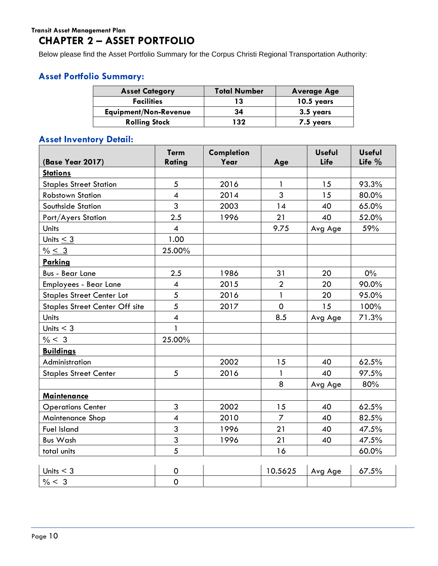## **CHAPTER 2 – ASSET PORTFOLIO**

Below please find the Asset Portfolio Summary for the Corpus Christi Regional Transportation Authority:

## <span id="page-9-0"></span>**Asset Portfolio Summary:**

| <b>Asset Category</b>        | <b>Total Number</b> | <b>Average Age</b> |
|------------------------------|---------------------|--------------------|
| <b>Facilities</b>            | 13                  | 10.5 years         |
| <b>Equipment/Non-Revenue</b> | 34                  | 3.5 years          |
| <b>Rolling Stock</b>         | 132                 | 7.5 years          |

## <span id="page-9-1"></span>**Asset Inventory Detail:**

| <b>(Base Year 2017)</b>               | <b>Term</b><br>Rating    | Completion<br>Year | Age            | <b>Useful</b><br>Life | <b>Useful</b><br>Life $%$ |
|---------------------------------------|--------------------------|--------------------|----------------|-----------------------|---------------------------|
| <b>Stations</b>                       |                          |                    |                |                       |                           |
| <b>Staples Street Station</b>         | $\overline{5}$           | 2016               | $\mathbf{1}$   | 15                    | 93.3%                     |
| <b>Robstown Station</b>               | $\overline{\mathbf{4}}$  | 2014               | $\overline{3}$ | 15                    | 80.0%                     |
| Southside Station                     | 3                        | 2003               | 14             | 40                    | 65.0%                     |
| Port/Ayers Station                    | 2.5                      | 1996               | 21             | 40                    | 52.0%                     |
| <b>Units</b>                          | $\boldsymbol{4}$         |                    | 9.75           | Avg Age               | 59%                       |
| Units $<$ 3                           | 1.00                     |                    |                |                       |                           |
| $% \leq 3$                            | 25.00%                   |                    |                |                       |                           |
| <b>Parking</b>                        |                          |                    |                |                       |                           |
| <b>Bus - Bear Lane</b>                | 2.5                      | 1986               | 31             | 20                    | $0\%$                     |
| Employees - Bear Lane                 | $\overline{\mathcal{A}}$ | 2015               | $\overline{2}$ | 20                    | 90.0%                     |
| <b>Staples Street Center Lot</b>      | 5                        | 2016               | $\mathbf{1}$   | 20                    | 95.0%                     |
| <b>Staples Street Center Off site</b> | 5                        | 2017               | $\mathbf 0$    | 15                    | 100%                      |
| <b>Units</b>                          | $\overline{\mathbf{4}}$  |                    | 8.5            | Avg Age               | 71.3%                     |
| Units $<$ 3                           | $\mathbf{1}$             |                    |                |                       |                           |
| % < 3                                 | 25.00%                   |                    |                |                       |                           |
| <b>Buildings</b>                      |                          |                    |                |                       |                           |
| Administration                        |                          | 2002               | 15             | 40                    | 62.5%                     |
| <b>Staples Street Center</b>          | 5                        | 2016               | $\mathbf{1}$   | 40                    | 97.5%                     |
|                                       |                          |                    | 8              | Avg Age               | 80%                       |
| <b>Maintenance</b>                    |                          |                    |                |                       |                           |
| <b>Operations Center</b>              | 3                        | 2002               | 15             | 40                    | 62.5%                     |
| Maintenance Shop                      | $\boldsymbol{4}$         | 2010               | $\overline{7}$ | 40                    | 82.5%                     |
| <b>Fuel Island</b>                    | 3                        | 1996               | 21             | 40                    | 47.5%                     |
| <b>Bus Wash</b>                       | 3                        | 1996               | 21             | 40                    | 47.5%                     |
| total units                           | 5                        |                    | 16             |                       | 60.0%                     |
|                                       |                          |                    |                |                       |                           |
| Units $<$ 3                           | 0                        |                    | 10.5625        | Avg Age               | 67.5%                     |
| % < 3                                 | $\mathbf 0$              |                    |                |                       |                           |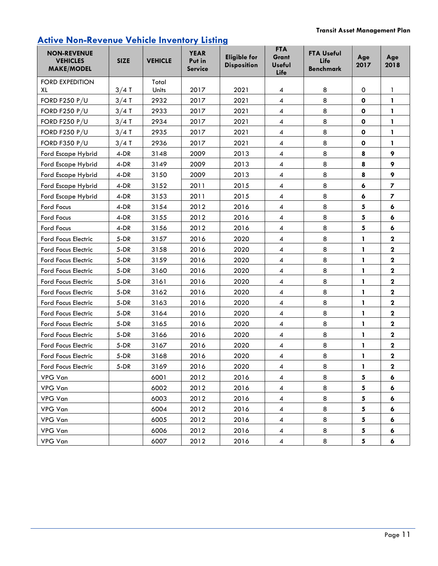## **Active Non-Revenue Vehicle Inventory Listing**

| <b>NON-REVENUE</b><br><b>VEHICLES</b><br><b>MAKE/MODEL</b> | <b>SIZE</b> | <b>VEHICLE</b> | <b>YEAR</b><br>Put in<br><b>Service</b> | <b>Eligible for</b><br><b>Disposition</b> | <b>FTA</b><br>Grant<br><b>Useful</b><br>Life | <b>FTA Useful</b><br>Life<br><b>Benchmark</b> | Age<br>2017        | Age<br>2018              |
|------------------------------------------------------------|-------------|----------------|-----------------------------------------|-------------------------------------------|----------------------------------------------|-----------------------------------------------|--------------------|--------------------------|
| <b>FORD EXPEDITION</b><br>XL                               | $3/4$ T     | Total<br>Units | 2017                                    | 2021                                      | 4                                            | 8                                             | $\mathbf 0$        | 1                        |
| <b>FORD F250 P/U</b>                                       | $3/4$ T     | 2932           | 2017                                    | 2021                                      | $\overline{\mathcal{A}}$                     | 8                                             | $\mathbf o$        | 1                        |
| <b>FORD F250 P/U</b>                                       | $3/4$ T     | 2933           | 2017                                    | 2021                                      | $\overline{\mathbf{4}}$                      | 8                                             | $\mathbf{o}$       | 1                        |
| <b>FORD F250 P/U</b>                                       | $3/4$ T     | 2934           | 2017                                    | 2021                                      | $\overline{\mathcal{A}}$                     | 8                                             | $\mathbf o$        | 1                        |
| <b>FORD F250 P/U</b>                                       | $3/4$ T     | 2935           | 2017                                    | 2021                                      | $\overline{\mathbf{4}}$                      | 8                                             | $\pmb{\mathsf{O}}$ | 1                        |
| <b>FORD F350 P/U</b>                                       | $3/4$ T     | 2936           | 2017                                    | 2021                                      | $\overline{\mathcal{A}}$                     | 8                                             | $\mathbf 0$        | 1                        |
| Ford Escape Hybrid                                         | 4-DR        | 3148           | 2009                                    | 2013                                      | $\overline{\mathcal{A}}$                     | 8                                             | 8                  | 9                        |
| Ford Escape Hybrid                                         | 4-DR        | 3149           | 2009                                    | 2013                                      | $\overline{\mathcal{A}}$                     | 8                                             | 8                  | 9                        |
| Ford Escape Hybrid                                         | 4-DR        | 3150           | 2009                                    | 2013                                      | $\overline{\mathcal{A}}$                     | 8                                             | 8                  | 9                        |
| Ford Escape Hybrid                                         | 4-DR        | 3152           | 2011                                    | 2015                                      | $\overline{4}$                               | 8                                             | 6                  | $\overline{\phantom{a}}$ |
| Ford Escape Hybrid                                         | 4-DR        | 3153           | 2011                                    | 2015                                      | $\overline{\mathcal{A}}$                     | 8                                             | 6                  | $\overline{\phantom{a}}$ |
| Ford Focus                                                 | 4-DR        | 3154           | 2012                                    | 2016                                      | 4                                            | 8                                             | 5                  | 6                        |
| Ford Focus                                                 | 4-DR        | 3155           | 2012                                    | 2016                                      | $\overline{\mathcal{A}}$                     | 8                                             | 5                  | 6                        |
| Ford Focus                                                 | 4-DR        | 3156           | 2012                                    | 2016                                      | $\overline{\mathcal{A}}$                     | 8                                             | 5                  | 6                        |
| <b>Ford Focus Electric</b>                                 | $5-DR$      | 3157           | 2016                                    | 2020                                      | $\overline{4}$                               | 8                                             | $\mathbf{1}$       | $\mathbf{2}$             |
| <b>Ford Focus Electric</b>                                 | $5-DR$      | 3158           | 2016                                    | 2020                                      | $\overline{\mathcal{A}}$                     | 8                                             | 1                  | $\mathbf{2}$             |
| <b>Ford Focus Electric</b>                                 | $5-DR$      | 3159           | 2016                                    | 2020                                      | $\overline{\mathcal{A}}$                     | 8                                             | $\mathbf{1}$       | $\mathbf 2$              |
| <b>Ford Focus Electric</b>                                 | $5-DR$      | 3160           | 2016                                    | 2020                                      | $\overline{\mathcal{A}}$                     | 8                                             | 1                  | $\mathbf 2$              |
| <b>Ford Focus Electric</b>                                 | $5-DR$      | 3161           | 2016                                    | 2020                                      | $\overline{\mathcal{A}}$                     | 8                                             | $\mathbf{1}$       | $\mathbf 2$              |
| <b>Ford Focus Electric</b>                                 | $5-DR$      | 3162           | 2016                                    | 2020                                      | $\overline{\mathcal{A}}$                     | 8                                             | 1                  | $\mathbf 2$              |
| <b>Ford Focus Electric</b>                                 | $5-DR$      | 3163           | 2016                                    | 2020                                      | $\overline{\mathcal{A}}$                     | 8                                             | 1                  | $\mathbf 2$              |
| Ford Focus Electric                                        | $5-DR$      | 3164           | 2016                                    | 2020                                      | $\overline{\mathbf{4}}$                      | 8                                             | $\mathbf{1}$       | $\mathbf 2$              |
| <b>Ford Focus Electric</b>                                 | $5-DR$      | 3165           | 2016                                    | 2020                                      | $\overline{4}$                               | 8                                             | 1                  | $\mathbf 2$              |
| <b>Ford Focus Electric</b>                                 | $5-DR$      | 3166           | 2016                                    | 2020                                      | $\overline{\mathbf{4}}$                      | 8                                             | $\mathbf{1}$       | $\mathbf 2$              |
| <b>Ford Focus Electric</b>                                 | $5-DR$      | 3167           | 2016                                    | 2020                                      | 4                                            | 8                                             | $\mathbf{1}$       | $\mathbf 2$              |
| Ford Focus Electric                                        | $5-DR$      | 3168           | 2016                                    | 2020                                      | $\overline{\mathbf{4}}$                      | 8                                             | $\mathbf{1}$       | $\bf 2$                  |
| Ford Focus Electric                                        | $5-DR$      | 3169           | 2016                                    | 2020                                      | 4                                            | 8                                             | 1                  | $\mathbf 2$              |
| VPG Van                                                    |             | 6001           | 2012                                    | 2016                                      | $\overline{\mathcal{A}}$                     | 8                                             | 5                  | 6                        |
| VPG Van                                                    |             | 6002           | 2012                                    | 2016                                      | $\overline{\mathcal{A}}$                     | 8                                             | 5                  | 6                        |
| VPG Van                                                    |             | 6003           | 2012                                    | 2016                                      | $\overline{\mathbf{4}}$                      | 8                                             | 5                  | 6                        |
| VPG Van                                                    |             | 6004           | 2012                                    | 2016                                      | $\overline{\mathcal{A}}$                     | 8                                             | 5                  | 6                        |
| VPG Van                                                    |             | 6005           | 2012                                    | 2016                                      | $\overline{\mathbf{4}}$                      | 8                                             | 5                  | 6                        |
| VPG Van                                                    |             | 6006           | 2012                                    | 2016                                      | $\overline{\mathcal{A}}$                     | 8                                             | 5                  | 6                        |
| VPG Van                                                    |             | 6007           | 2012                                    | 2016                                      | $\overline{\mathbf{4}}$                      | 8                                             | 5                  | 6                        |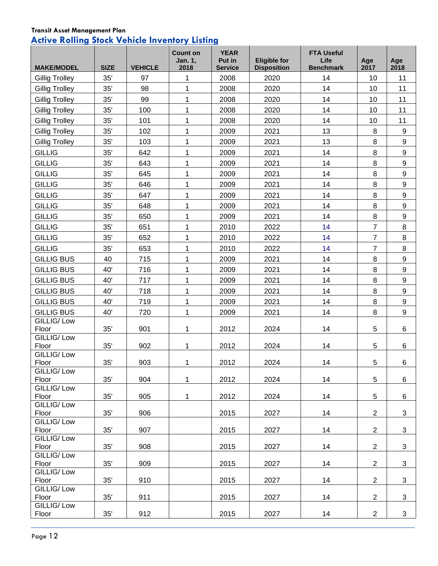## **Transit Asset Management Plan Active Rolling Stock Vehicle Inventory Listing**

| <b>MAKE/MODEL</b>     | <b>SIZE</b> | <b>VEHICLE</b> | <b>Count on</b><br>Jan. 1,<br>2018 | <b>YEAR</b><br>Put in<br><b>Service</b> | <b>Eligible for</b><br><b>Disposition</b> | <b>FTA Useful</b><br>Life<br><b>Benchmark</b> | Age<br>2017    | Age<br>2018      |
|-----------------------|-------------|----------------|------------------------------------|-----------------------------------------|-------------------------------------------|-----------------------------------------------|----------------|------------------|
| <b>Gillig Trolley</b> | 35'         | 97             | 1                                  | 2008                                    | 2020                                      | 14                                            | 10             | 11               |
| <b>Gillig Trolley</b> | 35'         | 98             | $\mathbf 1$                        | 2008                                    | 2020                                      | 14                                            | 10             | 11               |
| <b>Gillig Trolley</b> | 35'         | 99             | $\mathbf 1$                        | 2008                                    | 2020                                      | 14                                            | 10             | 11               |
| <b>Gillig Trolley</b> | 35'         | 100            | $\mathbf 1$                        | 2008                                    | 2020                                      | 14                                            | 10             | 11               |
| <b>Gillig Trolley</b> | 35'         | 101            | $\mathbf 1$                        | 2008                                    | 2020                                      | 14                                            | 10             | 11               |
| <b>Gillig Trolley</b> | 35'         | 102            | $\mathbf 1$                        | 2009                                    | 2021                                      | 13                                            | 8              | $\boldsymbol{9}$ |
| <b>Gillig Trolley</b> | 35'         | 103            | $\mathbf 1$                        | 2009                                    | 2021                                      | 13                                            | 8              | 9                |
| <b>GILLIG</b>         | 35'         | 642            | $\mathbf{1}$                       | 2009                                    | 2021                                      | 14                                            | 8              | 9                |
| <b>GILLIG</b>         | 35'         | 643            | $\mathbf 1$                        | 2009                                    | 2021                                      | 14                                            | 8              | 9                |
| <b>GILLIG</b>         | 35'         | 645            | 1                                  | 2009                                    | 2021                                      | 14                                            | 8              | $\boldsymbol{9}$ |
| <b>GILLIG</b>         | 35'         | 646            | $\mathbf 1$                        | 2009                                    | 2021                                      | 14                                            | 8              | 9                |
| <b>GILLIG</b>         | 35'         | 647            | $\mathbf{1}$                       | 2009                                    | 2021                                      | 14                                            | 8              | $\boldsymbol{9}$ |
| <b>GILLIG</b>         | 35'         | 648            | $\mathbf{1}$                       | 2009                                    | 2021                                      | 14                                            | 8              | $\boldsymbol{9}$ |
| <b>GILLIG</b>         | 35'         | 650            | $\mathbf 1$                        | 2009                                    | 2021                                      | 14                                            | $\, 8$         | $\boldsymbol{9}$ |
| <b>GILLIG</b>         | 35'         | 651            | $\mathbf 1$                        | 2010                                    | 2022                                      | 14                                            | $\overline{7}$ | $\bf 8$          |
| <b>GILLIG</b>         | 35'         | 652            | $\mathbf{1}$                       | 2010                                    | 2022                                      | 14                                            | $\overline{7}$ | 8                |
| <b>GILLIG</b>         | 35'         | 653            | 1                                  | 2010                                    | 2022                                      | 14                                            | $\overline{7}$ | $\bf 8$          |
| <b>GILLIG BUS</b>     | 40          | 715            | $\mathbf 1$                        | 2009                                    | 2021                                      | 14                                            | $\, 8$         | 9                |
| <b>GILLIG BUS</b>     | 40'         | 716            | 1                                  | 2009                                    | 2021                                      | 14                                            | 8              | 9                |
| <b>GILLIG BUS</b>     | 40'         | 717            | $\mathbf 1$                        | 2009                                    | 2021                                      | 14                                            | $\, 8$         | 9                |
| <b>GILLIG BUS</b>     | 40'         | 718            | 1                                  | 2009                                    | 2021                                      | 14                                            | 8              | 9                |
| <b>GILLIG BUS</b>     | 40'         | 719            | $\mathbf 1$                        | 2009                                    | 2021                                      | 14                                            | 8              | 9                |
| <b>GILLIG BUS</b>     | 40'         | 720            | 1                                  | 2009                                    | 2021                                      | 14                                            | 8              | 9                |
| GILLIG/Low            |             |                |                                    |                                         |                                           |                                               |                |                  |
| Floor                 | 35'         | 901            | 1                                  | 2012                                    | 2024                                      | 14                                            | 5              | 6                |
| GILLIG/Low<br>Floor   | 35'         | 902            | 1                                  | 2012                                    | 2024                                      | 14                                            | 5              | 6                |
| <b>GILLIG/Low</b>     |             |                |                                    |                                         |                                           |                                               |                |                  |
| Floor                 | 35'         | 903            | 1                                  | 2012                                    | 2024                                      | 14                                            | 5              | 6                |
| GILLIG/Low            |             |                |                                    |                                         |                                           |                                               |                |                  |
| Floor<br>GILLIG/Low   | 35'         | 904            | $\mathbf 1$                        | 2012                                    | 2024                                      | 14                                            | 5              | 6                |
| Floor                 | 35'         | 905            | $\mathbf 1$                        | 2012                                    | 2024                                      | 14                                            | 5              | 6                |
| GILLIG/Low            |             |                |                                    |                                         |                                           |                                               |                |                  |
| Floor                 | 35'         | 906            |                                    | 2015                                    | 2027                                      | 14                                            | $\overline{2}$ | 3                |
| GILLIG/Low<br>Floor   | 35'         | 907            |                                    | 2015                                    | 2027                                      | 14                                            | $\overline{2}$ | 3                |
| GILLIG/Low            |             |                |                                    |                                         |                                           |                                               |                |                  |
| Floor                 | 35'         | 908            |                                    | 2015                                    | 2027                                      | 14                                            | $\overline{2}$ | 3                |
| GILLIG/Low            |             |                |                                    |                                         |                                           |                                               |                |                  |
| Floor<br>GILLIG/Low   | 35'         | 909            |                                    | 2015                                    | 2027                                      | 14                                            | $\overline{2}$ | 3                |
| Floor                 | 35'         | 910            |                                    | 2015                                    | 2027                                      | 14                                            | $\overline{2}$ | 3                |
| GILLIG/Low            |             |                |                                    |                                         |                                           |                                               |                |                  |
| Floor                 | 35'         | 911            |                                    | 2015                                    | 2027                                      | 14                                            | $\overline{2}$ | 3                |
| GILLIG/Low<br>Floor   | 35'         | 912            |                                    | 2015                                    | 2027                                      | 14                                            | $\overline{2}$ | 3                |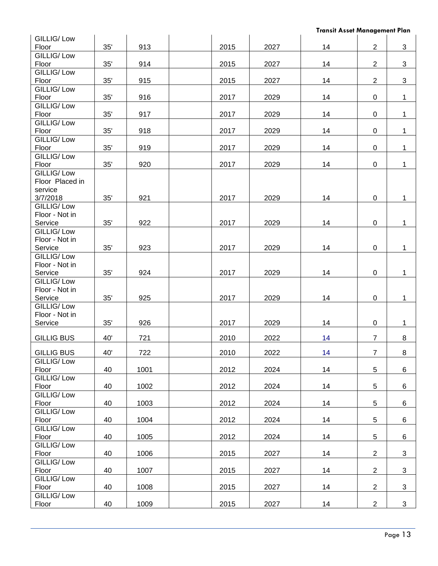| GILLIG/Low<br>Floor   | 35' | 913  | 2015 | 2027 | 14 | $\overline{2}$ | 3            |
|-----------------------|-----|------|------|------|----|----------------|--------------|
| GILLIG/Low            |     |      |      |      |    |                |              |
| Floor                 | 35' | 914  | 2015 | 2027 | 14 | $\overline{2}$ | 3            |
| GILLIG/Low            |     |      |      |      |    |                |              |
| Floor                 | 35' | 915  | 2015 | 2027 | 14 | $\overline{2}$ | 3            |
| GILLIG/Low            |     |      |      |      |    |                |              |
| Floor                 | 35' | 916  | 2017 | 2029 | 14 | 0              | $\mathbf{1}$ |
| GILLIG/Low            |     |      |      |      |    |                |              |
| Floor                 | 35' | 917  | 2017 | 2029 | 14 | $\mathbf 0$    | $\mathbf{1}$ |
| GILLIG/Low            |     |      |      |      |    |                |              |
| Floor                 | 35' | 918  | 2017 | 2029 | 14 | 0              | $\mathbf{1}$ |
| <b>GILLIG/Low</b>     |     |      |      |      |    |                |              |
| Floor                 | 35' | 919  | 2017 | 2029 | 14 | 0              | $\mathbf{1}$ |
| GILLIG/Low            |     |      |      |      |    |                |              |
| Floor                 | 35' | 920  | 2017 | 2029 | 14 | $\mathbf 0$    | $\mathbf{1}$ |
| GILLIG/Low            |     |      |      |      |    |                |              |
| Floor Placed in       |     |      |      |      |    |                |              |
| service               |     |      |      |      |    |                |              |
| 3/7/2018              | 35' | 921  | 2017 | 2029 | 14 | 0              | $\mathbf{1}$ |
| GILLIG/Low            |     |      |      |      |    |                |              |
| Floor - Not in        |     |      |      |      |    |                |              |
| Service               | 35' | 922  | 2017 | 2029 | 14 | 0              | 1            |
| GILLIG/Low            |     |      |      |      |    |                |              |
| Floor - Not in        |     |      |      |      |    |                |              |
| Service<br>GILLIG/Low | 35' | 923  | 2017 | 2029 | 14 | $\mathsf 0$    | 1            |
| Floor - Not in        |     |      |      |      |    |                |              |
| Service               | 35' | 924  | 2017 | 2029 | 14 | $\pmb{0}$      | $\mathbf 1$  |
| GILLIG/Low            |     |      |      |      |    |                |              |
| Floor - Not in        |     |      |      |      |    |                |              |
| Service               | 35' | 925  | 2017 | 2029 | 14 | 0              | 1            |
| GILLIG/Low            |     |      |      |      |    |                |              |
| Floor - Not in        |     |      |      |      |    |                |              |
| Service               | 35' | 926  | 2017 | 2029 | 14 | 0              | $\mathbf{1}$ |
|                       |     |      |      |      |    |                |              |
| <b>GILLIG BUS</b>     | 40' | 721  | 2010 | 2022 | 14 | $\overline{7}$ | 8            |
|                       |     |      |      |      |    |                |              |
| <b>GILLIG BUS</b>     | 40' | 722  | 2010 | 2022 | 14 | $\overline{7}$ | 8            |
| GILLIG/Low<br>Floor   | 40  | 1001 |      | 2024 | 14 | 5              | $\,6\,$      |
| GILLIG/Low            |     |      | 2012 |      |    |                |              |
| Floor                 | 40  | 1002 | 2012 | 2024 | 14 | 5              | $\,6$        |
| GILLIG/Low            |     |      |      |      |    |                |              |
| Floor                 | 40  | 1003 | 2012 | 2024 | 14 | 5              | $\,6\,$      |
| GILLIG/Low            |     |      |      |      |    |                |              |
| Floor                 | 40  | 1004 | 2012 | 2024 | 14 | 5              | $\,6\,$      |
| GILLIG/Low            |     |      |      |      |    |                |              |
| Floor                 | 40  | 1005 | 2012 | 2024 | 14 | 5              | 6            |
| GILLIG/Low            |     |      |      |      |    |                |              |
| Floor                 | 40  | 1006 | 2015 | 2027 | 14 | $\overline{2}$ | 3            |
| GILLIG/Low            |     |      |      |      |    |                |              |
| Floor                 | 40  | 1007 | 2015 | 2027 | 14 | $\overline{2}$ | 3            |
| GILLIG/Low            |     |      |      |      |    |                |              |
| Floor                 | 40  | 1008 | 2015 | 2027 | 14 | $\overline{2}$ | 3            |
| GILLIG/Low            |     |      |      |      |    |                |              |
| Floor                 | 40  | 1009 | 2015 | 2027 | 14 | $\overline{2}$ | 3            |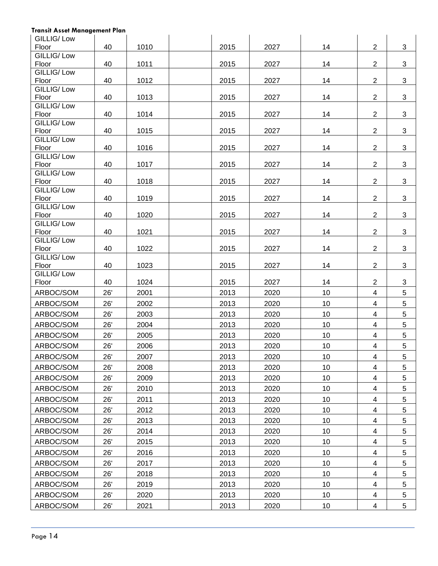| GILLIG/Low          |     |      |      |      |    |                         |   |
|---------------------|-----|------|------|------|----|-------------------------|---|
| Floor               | 40  | 1010 | 2015 | 2027 | 14 | $\overline{2}$          | 3 |
| GILLIG/Low<br>Floor | 40  | 1011 | 2015 | 2027 | 14 | $\overline{2}$          | 3 |
| GILLIG/Low          |     |      |      |      |    |                         |   |
| Floor               | 40  | 1012 | 2015 | 2027 | 14 | $\overline{2}$          | 3 |
| GILLIG/Low          |     |      |      |      |    |                         |   |
| Floor               | 40  | 1013 | 2015 | 2027 | 14 | $\overline{2}$          | 3 |
| GILLIG/Low          |     |      |      |      |    |                         |   |
| Floor<br>GILLIG/Low | 40  | 1014 | 2015 | 2027 | 14 | $\overline{2}$          | 3 |
| Floor               | 40  | 1015 | 2015 | 2027 | 14 | $\overline{2}$          | 3 |
| GILLIG/Low          |     |      |      |      |    |                         |   |
| Floor               | 40  | 1016 | 2015 | 2027 | 14 | $\overline{2}$          | 3 |
| GILLIG/Low          |     |      |      |      |    |                         |   |
| Floor<br>GILLIG/Low | 40  | 1017 | 2015 | 2027 | 14 | $\overline{2}$          | 3 |
| Floor               | 40  | 1018 | 2015 | 2027 | 14 | $\overline{2}$          | 3 |
| GILLIG/Low          |     |      |      |      |    |                         |   |
| Floor               | 40  | 1019 | 2015 | 2027 | 14 | $\overline{2}$          | 3 |
| GILLIG/Low          |     |      |      |      |    |                         |   |
| Floor               | 40  | 1020 | 2015 | 2027 | 14 | $\overline{2}$          | 3 |
| GILLIG/Low<br>Floor | 40  | 1021 | 2015 | 2027 | 14 | $\overline{2}$          | 3 |
| GILLIG/Low          |     |      |      |      |    |                         |   |
| Floor               | 40  | 1022 | 2015 | 2027 | 14 | $\overline{2}$          | 3 |
| GILLIG/Low          |     |      |      |      |    |                         |   |
| Floor               | 40  | 1023 | 2015 | 2027 | 14 | $\overline{2}$          | 3 |
| GILLIG/Low          |     |      |      |      | 14 | $\overline{2}$          | 3 |
| Floor               | 40  | 1024 | 2015 | 2027 |    |                         |   |
| ARBOC/SOM           | 26' | 2001 | 2013 | 2020 | 10 | $\overline{4}$          | 5 |
| ARBOC/SOM           | 26' | 2002 | 2013 | 2020 | 10 | $\overline{4}$          | 5 |
| ARBOC/SOM           | 26' | 2003 | 2013 | 2020 | 10 | $\overline{4}$          | 5 |
| ARBOC/SOM           |     |      | 2013 | 2020 |    |                         |   |
|                     | 26' | 2004 |      |      | 10 | $\overline{4}$          | 5 |
| ARBOC/SOM           | 26' | 2005 | 2013 | 2020 | 10 | $\overline{4}$          | 5 |
| ARBOC/SOM           | 26' | 2006 | 2013 | 2020 | 10 | $\overline{4}$          | 5 |
| ARBOC/SOM           | 26' | 2007 | 2013 | 2020 | 10 | 4                       | 5 |
| ARBOC/SOM           | 26' | 2008 | 2013 | 2020 | 10 | $\overline{\mathbf{4}}$ | 5 |
| ARBOC/SOM           | 26' | 2009 | 2013 | 2020 | 10 | $\overline{\mathbf{4}}$ | 5 |
|                     | 26' |      |      |      | 10 | 4                       | 5 |
| ARBOC/SOM           |     | 2010 | 2013 | 2020 |    |                         |   |
| ARBOC/SOM           | 26' | 2011 | 2013 | 2020 | 10 | $\overline{\mathbf{4}}$ | 5 |
| ARBOC/SOM           | 26' | 2012 | 2013 | 2020 | 10 | $\overline{\mathbf{4}}$ | 5 |
| ARBOC/SOM           | 26' | 2013 | 2013 | 2020 | 10 | $\overline{\mathbf{4}}$ | 5 |
| ARBOC/SOM           | 26' | 2014 | 2013 | 2020 | 10 | 4                       | 5 |
| ARBOC/SOM           | 26' | 2015 | 2013 | 2020 | 10 | $\overline{\mathbf{4}}$ | 5 |
| ARBOC/SOM           | 26' | 2016 | 2013 | 2020 | 10 | $\overline{\mathbf{4}}$ | 5 |
| ARBOC/SOM           | 26' | 2017 | 2013 | 2020 | 10 | $\overline{\mathbf{4}}$ | 5 |
| ARBOC/SOM           | 26' | 2018 | 2013 | 2020 | 10 | 4                       | 5 |
| ARBOC/SOM           | 26' | 2019 | 2013 | 2020 | 10 | $\overline{\mathbf{4}}$ | 5 |
| ARBOC/SOM           | 26' | 2020 | 2013 | 2020 | 10 | $\overline{4}$          | 5 |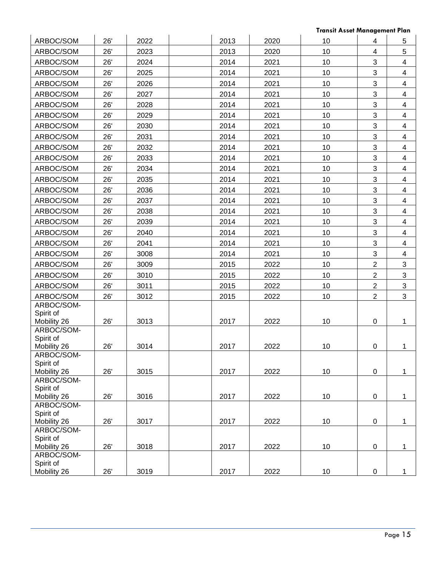| ARBOC/SOM                              | 26' | 2022 | 2013 | 2020 | 10 | 4              | 5                       |
|----------------------------------------|-----|------|------|------|----|----------------|-------------------------|
| ARBOC/SOM                              | 26' | 2023 | 2013 | 2020 | 10 | 4              | $\mathbf 5$             |
| ARBOC/SOM                              | 26' | 2024 | 2014 | 2021 | 10 | 3              | $\overline{4}$          |
| ARBOC/SOM                              | 26' | 2025 | 2014 | 2021 | 10 | 3              | $\overline{4}$          |
| ARBOC/SOM                              | 26' | 2026 | 2014 | 2021 | 10 | 3              | $\overline{4}$          |
| ARBOC/SOM                              | 26' | 2027 | 2014 | 2021 | 10 | 3              | $\overline{4}$          |
| ARBOC/SOM                              | 26' | 2028 | 2014 | 2021 | 10 | 3              | $\overline{4}$          |
| ARBOC/SOM                              | 26' | 2029 | 2014 | 2021 | 10 | 3              | $\overline{4}$          |
| ARBOC/SOM                              | 26' | 2030 | 2014 | 2021 | 10 | 3              | $\overline{4}$          |
| ARBOC/SOM                              | 26' | 2031 | 2014 | 2021 | 10 | 3              | $\overline{4}$          |
| ARBOC/SOM                              | 26' | 2032 | 2014 | 2021 | 10 | $\sqrt{3}$     | $\overline{4}$          |
| ARBOC/SOM                              | 26' | 2033 | 2014 | 2021 | 10 | 3              | $\overline{4}$          |
| ARBOC/SOM                              | 26' | 2034 | 2014 | 2021 | 10 | 3              | $\overline{4}$          |
| ARBOC/SOM                              | 26' | 2035 | 2014 | 2021 | 10 | 3              | $\overline{4}$          |
| ARBOC/SOM                              | 26' | 2036 | 2014 | 2021 | 10 | 3              | $\overline{4}$          |
| ARBOC/SOM                              | 26' | 2037 | 2014 | 2021 | 10 | 3              | $\overline{4}$          |
| ARBOC/SOM                              | 26' | 2038 | 2014 | 2021 | 10 | 3              | $\overline{4}$          |
| ARBOC/SOM                              | 26' | 2039 | 2014 | 2021 | 10 | 3              | $\overline{4}$          |
| ARBOC/SOM                              | 26' | 2040 | 2014 | 2021 | 10 | 3              | $\overline{\mathbf{4}}$ |
| ARBOC/SOM                              | 26' | 2041 | 2014 | 2021 | 10 | 3              | $\overline{4}$          |
| ARBOC/SOM                              | 26' | 3008 | 2014 | 2021 | 10 | 3              | $\overline{4}$          |
| ARBOC/SOM                              | 26' | 3009 | 2015 | 2022 | 10 | $\overline{2}$ | $\mathfrak{B}$          |
| ARBOC/SOM                              | 26' | 3010 | 2015 | 2022 | 10 | $\overline{2}$ | $\overline{3}$          |
| ARBOC/SOM                              | 26' | 3011 | 2015 | 2022 | 10 | $\overline{2}$ | 3                       |
| ARBOC/SOM                              | 26' | 3012 | 2015 | 2022 | 10 | $\overline{2}$ | 3                       |
| ARBOC/SOM-<br>Spirit of<br>Mobility 26 | 26' | 3013 | 2017 | 2022 | 10 | $\pmb{0}$      | 1                       |
| ARBOC/SOM-                             |     |      |      |      |    |                |                         |
| Spirit of<br>Mobility 26               | 26' | 3014 | 2017 | 2022 | 10 | $\pmb{0}$      | 1                       |
| ARBOC/SOM-                             |     |      |      |      |    |                |                         |
| Spirit of<br>Mobility 26               | 26' | 3015 | 2017 | 2022 | 10 | $\pmb{0}$      | $\mathbf{1}$            |
| ARBOC/SOM-                             |     |      |      |      |    |                |                         |
| Spirit of                              |     |      |      |      |    |                |                         |
| Mobility 26                            | 26' | 3016 | 2017 | 2022 | 10 | $\pmb{0}$      | 1                       |
| ARBOC/SOM-<br>Spirit of                |     |      |      |      |    |                |                         |
| Mobility 26                            | 26' | 3017 | 2017 | 2022 | 10 | $\pmb{0}$      | 1                       |
| ARBOC/SOM-                             |     |      |      |      |    |                |                         |
| Spirit of                              |     |      |      |      |    |                |                         |
| Mobility 26<br>ARBOC/SOM-              | 26' | 3018 | 2017 | 2022 | 10 | $\pmb{0}$      | 1                       |
| Spirit of                              |     |      |      |      |    |                |                         |
| Mobility 26                            | 26' | 3019 | 2017 | 2022 | 10 | $\pmb{0}$      | 1                       |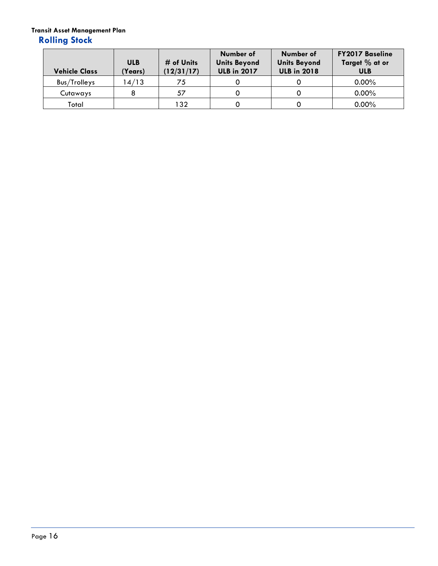## **Rolling Stock**

<span id="page-15-0"></span>

| <b>Vehicle Class</b> | <b>ULB</b><br>(Years) | # of Units<br>(12/31/17) | Number of<br><b>Units Beyond</b><br><b>ULB in 2017</b> | Number of<br><b>Units Beyond</b><br><b>ULB in 2018</b> | <b>FY2017 Baseline</b><br>Target % at or<br><b>ULB</b> |
|----------------------|-----------------------|--------------------------|--------------------------------------------------------|--------------------------------------------------------|--------------------------------------------------------|
| Bus/Trolleys         | 14/13                 | 75                       |                                                        |                                                        | $0.00\%$                                               |
| Cutaways             |                       | 57                       |                                                        |                                                        | $0.00\%$                                               |
| Total                |                       | 132                      |                                                        |                                                        | $0.00\%$                                               |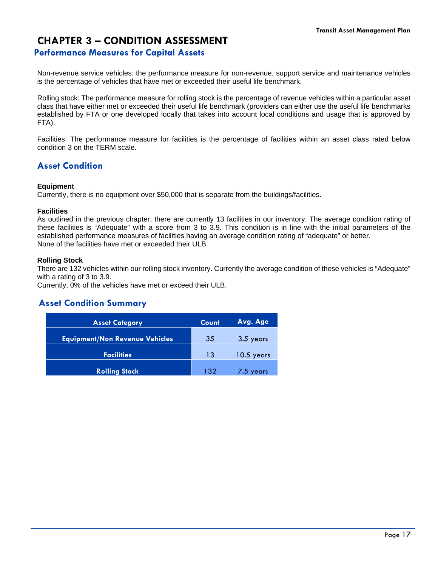## **CHAPTER 3 – CONDITION ASSESSMENT**

#### **Performance Measures for Capital Assets**

Non-revenue service vehicles: the performance measure for non-revenue, support service and maintenance vehicles is the percentage of vehicles that have met or exceeded their useful life benchmark.

Rolling stock: The performance measure for rolling stock is the percentage of revenue vehicles within a particular asset class that have either met or exceeded their useful life benchmark (providers can either use the useful life benchmarks established by FTA or one developed locally that takes into account local conditions and usage that is approved by FTA).

Facilities: The performance measure for facilities is the percentage of facilities within an asset class rated below condition 3 on the TERM scale.

#### <span id="page-16-0"></span>**Asset Condition**

#### **Equipment**

Currently, there is no equipment over \$50,000 that is separate from the buildings/facilities.

#### **Facilities**

As outlined in the previous chapter, there are currently 13 facilities in our inventory. The average condition rating of these facilities is "Adequate" with a score from 3 to 3.9. This condition is in line with the initial parameters of the established performance measures of facilities having an average condition rating of "adequate" or better. None of the facilities have met or exceeded their ULB.

#### **Rolling Stock**

There are 132 vehicles within our rolling stock inventory. Currently the average condition of these vehicles is "Adequate" with a rating of 3 to 3.9.

Currently, 0% of the vehicles have met or exceed their ULB.

#### <span id="page-16-1"></span>**Asset Condition Summary**

<span id="page-16-2"></span>

| <b>Asset Category</b>                 | Count | Avg. Age     |
|---------------------------------------|-------|--------------|
| <b>Equipment/Non Revenue Vehicles</b> | 35    | 3.5 years    |
|                                       |       |              |
| <b>Facilities</b>                     | 13    | $10.5$ years |
| <b>Rolling Stock</b>                  | 132   | 7.5 years    |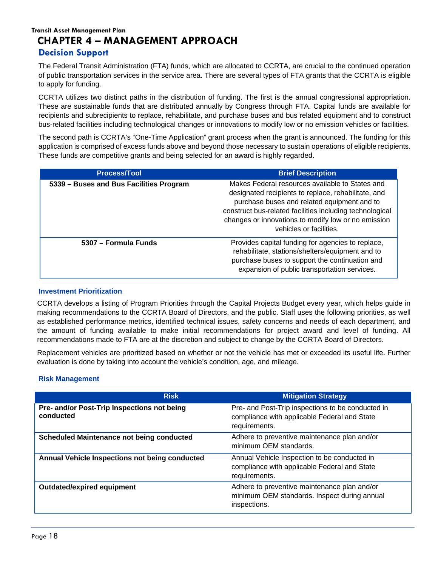#### **Transit Asset Management Plan CHAPTER 4 – MANAGEMENT APPROACH Decision Support**

<span id="page-17-0"></span>The Federal Transit Administration (FTA) funds, which are allocated to CCRTA, are crucial to the continued operation of public transportation services in the service area. There are several types of FTA grants that the CCRTA is eligible to apply for funding.

CCRTA utilizes two distinct paths in the distribution of funding. The first is the annual congressional appropriation. These are sustainable funds that are distributed annually by Congress through FTA. Capital funds are available for recipients and subrecipients to replace, rehabilitate, and purchase buses and bus related equipment and to construct bus-related facilities including technological changes or innovations to modify low or no emission vehicles or facilities.

The second path is CCRTA's "One-Time Application" grant process when the grant is announced. The funding for this application is comprised of excess funds above and beyond those necessary to sustain operations of eligible recipients. These funds are competitive grants and being selected for an award is highly regarded.

| <b>Process/Tool</b>                     | <b>Brief Description</b>                                                                                                                                                                                                                                                                            |
|-----------------------------------------|-----------------------------------------------------------------------------------------------------------------------------------------------------------------------------------------------------------------------------------------------------------------------------------------------------|
| 5339 - Buses and Bus Facilities Program | Makes Federal resources available to States and<br>designated recipients to replace, rehabilitate, and<br>purchase buses and related equipment and to<br>construct bus-related facilities including technological<br>changes or innovations to modify low or no emission<br>vehicles or facilities. |
| 5307 - Formula Funds                    | Provides capital funding for agencies to replace,<br>rehabilitate, stations/shelters/equipment and to<br>purchase buses to support the continuation and<br>expansion of public transportation services.                                                                                             |

#### <span id="page-17-1"></span>**Investment Prioritization**

CCRTA develops a listing of Program Priorities through the Capital Projects Budget every year, which helps guide in making recommendations to the CCRTA Board of Directors, and the public. Staff uses the following priorities, as well as established performance metrics, identified technical issues, safety concerns and needs of each department, and the amount of funding available to make initial recommendations for project award and level of funding. All recommendations made to FTA are at the discretion and subject to change by the CCRTA Board of Directors.

Replacement vehicles are prioritized based on whether or not the vehicle has met or exceeded its useful life. Further evaluation is done by taking into account the vehicle's condition, age, and mileage.

#### <span id="page-17-2"></span>**Risk Management**

| <b>Risk</b>                                              | <b>Mitigation Strategy</b>                                                                                         |
|----------------------------------------------------------|--------------------------------------------------------------------------------------------------------------------|
| Pre- and/or Post-Trip Inspections not being<br>conducted | Pre- and Post-Trip inspections to be conducted in<br>compliance with applicable Federal and State<br>requirements. |
| <b>Scheduled Maintenance not being conducted</b>         | Adhere to preventive maintenance plan and/or<br>minimum OEM standards.                                             |
| Annual Vehicle Inspections not being conducted           | Annual Vehicle Inspection to be conducted in<br>compliance with applicable Federal and State<br>requirements.      |
| <b>Outdated/expired equipment</b>                        | Adhere to preventive maintenance plan and/or<br>minimum OEM standards. Inspect during annual<br>inspections.       |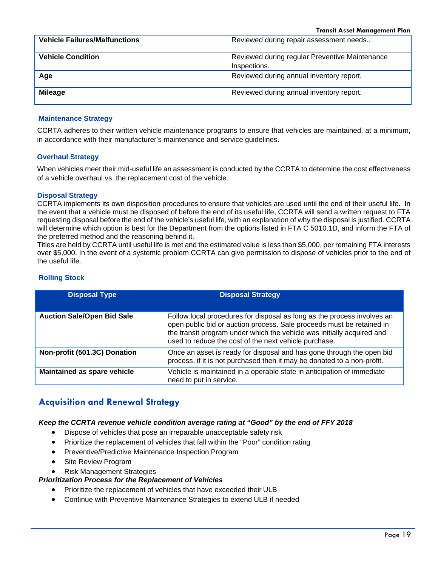| <b>Vehicle Failures/Malfunctions</b> | Reviewed during repair assessment needs        |
|--------------------------------------|------------------------------------------------|
| <b>Vehicle Condition</b>             | Reviewed during regular Preventive Maintenance |
|                                      | Inspections.                                   |
| Age                                  | Reviewed during annual inventory report.       |
| <b>Mileage</b>                       | Reviewed during annual inventory report.       |

#### <span id="page-18-0"></span>**Maintenance Strategy**

CCRTA adheres to their written vehicle maintenance programs to ensure that vehicles are maintained, at a minimum, in accordance with their manufacturer's maintenance and service guidelines.

#### <span id="page-18-1"></span>**Overhaul Strategy**

When vehicles meet their mid-useful life an assessment is conducted by the CCRTA to determine the cost effectiveness of a vehicle overhaul vs. the replacement cost of the vehicle.

#### <span id="page-18-2"></span>**Disposal Strategy**

CCRTA implements its own disposition procedures to ensure that vehicles are used until the end of their useful life. In the event that a vehicle must be disposed of before the end of its useful life, CCRTA will send a written request to FTA requesting disposal before the end of the vehicle's useful life, with an explanation of why the disposal is justified. CCRTA will determine which option is best for the Department from the options listed in FTA C 5010.1D, and inform the FTA of the preferred method and the reasoning behind it.

Titles are held by CCRTA until useful life is met and the estimated value is less than \$5,000, per remaining FTA interests over \$5,000. In the event of a systemic problem CCRTA can give permission to dispose of vehicles prior to the end of the useful life.

## **Rolling Stock**

| <b>Disposal Type</b>              | <b>Disposal Strategy</b>                                                                                                                                                                                                                                                            |
|-----------------------------------|-------------------------------------------------------------------------------------------------------------------------------------------------------------------------------------------------------------------------------------------------------------------------------------|
| <b>Auction Sale/Open Bid Sale</b> | Follow local procedures for disposal as long as the process involves an<br>open public bid or auction process. Sale proceeds must be retained in<br>the transit program under which the vehicle was initially acquired and<br>used to reduce the cost of the next vehicle purchase. |
| Non-profit (501.3C) Donation      | Once an asset is ready for disposal and has gone through the open bid<br>process, if it is not purchased then it may be donated to a non-profit.                                                                                                                                    |
| Maintained as spare vehicle       | Vehicle is maintained in a operable state in anticipation of immediate<br>need to put in service.                                                                                                                                                                                   |

## <span id="page-18-3"></span>**Acquisition and Renewal Strategy**

#### *Keep the CCRTA revenue vehicle condition average rating at "Good" by the end of FFY 2018*

- Dispose of vehicles that pose an irreparable unacceptable safety risk
- Prioritize the replacement of vehicles that fall within the "Poor" condition rating
- Preventive/Predictive Maintenance Inspection Program
- Site Review Program
- Risk Management Strategies

#### *Prioritization Process for the Replacement of Vehicles*

- Prioritize the replacement of vehicles that have exceeded their ULB
- <span id="page-18-4"></span>• Continue with Preventive Maintenance Strategies to extend ULB if needed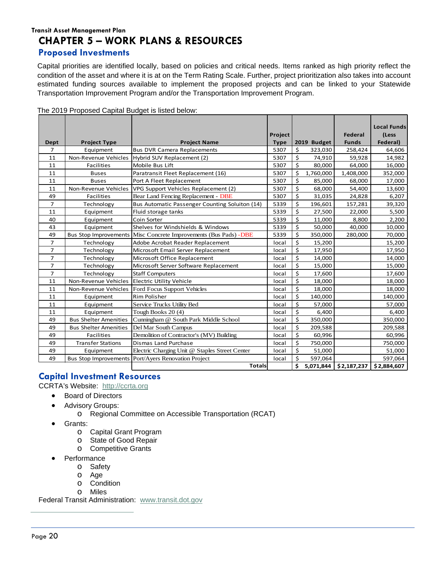## **Transit Asset Management Plan CHAPTER 5 – WORK PLANS & RESOURCES**

#### <span id="page-19-0"></span>**Proposed Investments**

Capital priorities are identified locally, based on policies and critical needs. Items ranked as high priority reflect the condition of the asset and where it is at on the Term Rating Scale. Further, project prioritization also takes into account estimated funding sources available to implement the proposed projects and can be linked to your Statewide Transportation Improvement Program and/or the Transportation Improvement Program.

|                |                              |                                                |             |                  |             |                | <b>Local Funds</b> |
|----------------|------------------------------|------------------------------------------------|-------------|------------------|-------------|----------------|--------------------|
|                |                              |                                                | Project     |                  |             | <b>Federal</b> | (Less              |
| Dept           | <b>Project Type</b>          | <b>Project Name</b>                            | <b>Type</b> |                  | 2019 Budget | <b>Funds</b>   | <b>Federal</b> )   |
| $\overline{7}$ | Equipment                    | <b>Bus DVR Camera Replacements</b>             | 5307        | \$               | 323,030     | 258,424        | 64,606             |
| 11             | Non-Revenue Vehicles         | Hybrid SUV Replacement (2)                     | 5307        | \$               | 74,910      | 59,928         | 14,982             |
| 11             | <b>Facilities</b>            | Mobile Bus Lift                                | 5307        | \$               | 80,000      | 64,000         | 16,000             |
| 11             | <b>Buses</b>                 | Paratransit Fleet Replacement (16)             | 5307        | \$               | 1,760,000   | 1,408,000      | 352,000            |
| 11             | <b>Buses</b>                 | Port A Fleet Replacement                       | 5307        | \$               | 85,000      | 68,000         | 17,000             |
| 11             | Non-Revenue Vehicles         | VPG Support Vehicles Replacement (2)           | 5307        | \$               | 68,000      | 54,400         | 13,600             |
| 49             | <b>Facilities</b>            | Bear Land Fencing Replacement - DBE            | 5307        | \$               | 31,035      | 24,828         | 6,207              |
| $\overline{7}$ | Technology                   | Bus Automatic Passenger Counting Soluiton (14) | 5339        | \$               | 196,601     | 157,281        | 39,320             |
| 11             | Equipment                    | Fluid storage tanks                            | 5339        | \$               | 27,500      | 22,000         | 5,500              |
| 40             | Equipment                    | Coin Sorter                                    | 5339        | \$               | 11,000      | 8,800          | 2,200              |
| 43             | Equipment                    | Shelves for Windshields & Windows              | 5339        | \$               | 50,000      | 40,000         | 10,000             |
| 49             | <b>Bus Stop Improvements</b> | Misc Concrete Improvements (Bus Pads) - DBE    | 5339        | \$               | 350,000     | 280,000        | 70,000             |
| $\overline{7}$ | Technology                   | Adobe Acrobat Reader Replacement               | local       | \$               | 15,200      |                | 15,200             |
| $\overline{7}$ | Technology                   | Microsoft Email Server Replacement             | local       | \$               | 17,950      |                | 17,950             |
| $\overline{7}$ | Technology                   | Microsoft Office Replacement                   | local       | \$               | 14,000      |                | 14,000             |
| $\overline{7}$ | Technology                   | Microsoft Server Software Replacement          | local       | $\overline{\xi}$ | 15,000      |                | 15,000             |
| $\overline{7}$ | Technology                   | <b>Staff Computers</b>                         | local       | \$               | 17,600      |                | 17,600             |
| 11             | Non-Revenue Vehicles         | <b>Electric Utility Vehicle</b>                | local       | \$               | 18,000      |                | 18,000             |
| 11             | Non-Revenue Vehicles         | Ford Focus Support Vehicles                    | local       | \$               | 18,000      |                | 18,000             |
| 11             | Equipment                    | <b>Rim Polisher</b>                            | local       | \$               | 140,000     |                | 140,000            |
| 11             | Equipment                    | Service Trucks Utility Bed                     | local       | \$               | 57,000      |                | 57,000             |
| 11             | Equipment                    | Tough Books 20(4)                              | local       | \$               | 6,400       |                | 6,400              |
| 49             | <b>Bus Shelter Amenities</b> | Cunningham @ South Park Middle School          | local       | \$               | 350,000     |                | 350,000            |
| 49             | <b>Bus Shelter Amenities</b> | Del Mar South Campus                           | local       | \$               | 209,588     |                | 209,588            |
| 49             | <b>Facilities</b>            | Demolition of Contractor's (MV) Building       | local       | \$               | 60,996      |                | 60,996             |
| 49             | <b>Transfer Stations</b>     | Dismas Land Purchase                           | local       | \$               | 750,000     |                | 750,000            |
| 49             | Equipment                    | Electric Charging Unit @ Staples Street Center | local       | \$               | 51,000      |                | 51,000             |
| 49             | <b>Bus Stop Improvements</b> | Port/Ayers Renovation Project                  | local       | \$               | 597,064     |                | 597,064            |
|                |                              | <b>Totals</b>                                  |             | \$               | 5,071,844   | \$2,187,237    | \$2,884,607        |

The 2019 Proposed Capital Budget is listed below:

## <span id="page-19-1"></span>**Capital Investment Resources**

#### CCRTA's Website: http://ccrta.org

- Board of Directors
	- Advisory Groups:
		- o Regional Committee on Accessible Transportation (RCAT)
	- Grants:
		- o Capital Grant Program
		- o State of Good Repair
		- o Competitive Grants
		- **Performance** 
			- o Safety
			- o Age
			- o Condition
			- o Miles

Federal Transit Administration: [www.transit.dot.gov](http://www.transit.dot.gov/)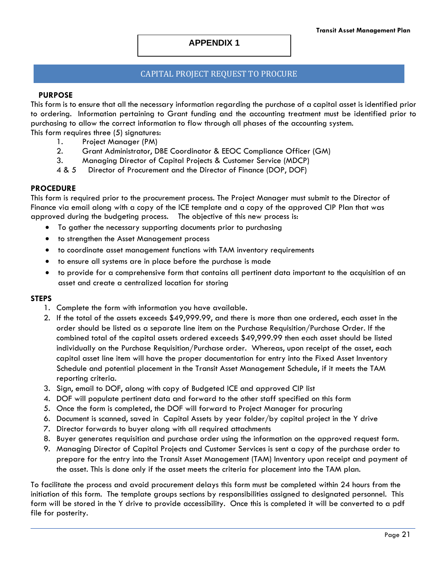#### **APPENDIX 1**

#### CAPITAL PROJECT REQUEST TO PROCURE

#### **PURPOSE**

This form is to ensure that all the necessary information regarding the purchase of a capital asset is identified prior to ordering. Information pertaining to Grant funding and the accounting treatment must be identified prior to purchasing to allow the correct information to flow through all phases of the accounting system. This form requires three (5) signatures:

- 1. Project Manager (PM)
- 2. Grant Administrator, DBE Coordinator & EEOC Compliance Officer (GM)
- 3. Managing Director of Capital Projects & Customer Service (MDCP)
- 4 & 5 Director of Procurement and the Director of Finance (DOP, DOF)

#### **PROCEDURE**

This form is required prior to the procurement process. The Project Manager must submit to the Director of Finance via email along with a copy of the ICE template and a copy of the approved CIP Plan that was approved during the budgeting process. The objective of this new process is:

- To gather the necessary supporting documents prior to purchasing
- to strengthen the Asset Management process
- to coordinate asset management functions with TAM inventory requirements
- to ensure all systems are in place before the purchase is made
- to provide for a comprehensive form that contains all pertinent data important to the acquisition of an asset and create a centralized location for storing

#### **STEPS**

- 1. Complete the form with information you have available.
- 2. If the total of the assets exceeds \$49,999.99, and there is more than one ordered, each asset in the order should be listed as a separate line item on the Purchase Requisition/Purchase Order. If the combined total of the capital assets ordered exceeds \$49,999.99 then each asset should be listed individually on the Purchase Requisition/Purchase order. Whereas, upon receipt of the asset, each capital asset line item will have the proper documentation for entry into the Fixed Asset Inventory Schedule and potential placement in the Transit Asset Management Schedule, if it meets the TAM reporting criteria.
- 3. Sign, email to DOF, along with copy of Budgeted ICE and approved CIP list
- 4. DOF will populate pertinent data and forward to the other staff specified on this form
- 5. Once the form is completed, the DOF will forward to Project Manager for procuring
- 6. Document is scanned, saved in Capital Assets by year folder/by capital project in the Y drive
- 7. Director forwards to buyer along with all required attachments
- 8. Buyer generates requisition and purchase order using the information on the approved request form.
- 9. Managing Director of Capital Projects and Customer Services is sent a copy of the purchase order to prepare for the entry into the Transit Asset Management (TAM) Inventory upon receipt and payment of the asset. This is done only if the asset meets the criteria for placement into the TAM plan.

To facilitate the process and avoid procurement delays this form must be completed within 24 hours from the initiation of this form. The template groups sections by responsibilities assigned to designated personnel. This form will be stored in the Y drive to provide accessibility. Once this is completed it will be converted to a pdf file for posterity.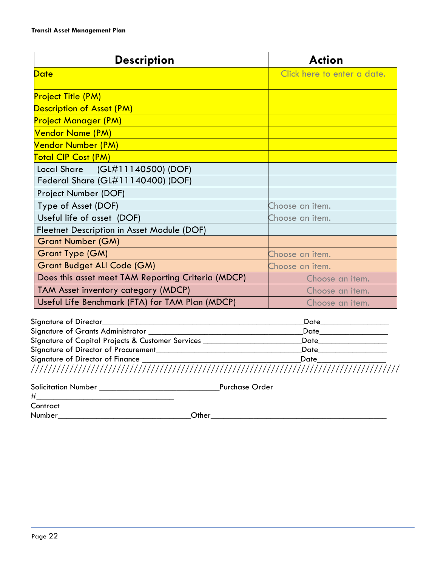| <b>Description</b>                                 | <b>Action</b>               |  |
|----------------------------------------------------|-----------------------------|--|
| <b>Date</b>                                        | Click here to enter a date. |  |
| <b>Project Title (PM)</b>                          |                             |  |
| Description of Asset (PM)                          |                             |  |
| <b>Project Manager (PM)</b>                        |                             |  |
| Vendor Name (PM)                                   |                             |  |
| Vendor Number (PM)                                 |                             |  |
| <b>Total CIP Cost (PM)</b>                         |                             |  |
| Local Share (GL#11140500) (DOF)                    |                             |  |
| Federal Share (GL#11140400) (DOF)                  |                             |  |
| Project Number (DOF)                               |                             |  |
| Type of Asset (DOF)                                | Choose an item.             |  |
| Useful life of asset (DOF)                         | Choose an item.             |  |
| Fleetnet Description in Asset Module (DOF)         |                             |  |
| <b>Grant Number (GM)</b>                           |                             |  |
| <b>Grant Type (GM)</b>                             | Choose an item.             |  |
| <b>Grant Budget ALI Code (GM)</b>                  | Choose an item.             |  |
| Does this asset meet TAM Reporting Criteria (MDCP) | Choose an <i>item</i> .     |  |
| TAM Asset inventory category (MDCP)                | Choose an item.             |  |
| Useful Life Benchmark (FTA) for TAM Plan (MDCP)    | Choose an item.             |  |

| Signature of Director                             | Date |
|---------------------------------------------------|------|
| Signature of Grants Administrator                 | Date |
| Signature of Capital Projects & Customer Services | Date |
| Signature of Director of Procurement              | Date |
| Signature of Director of Finance                  | Date |
|                                                   |      |

| <b>Solicitation Number</b> | Purchase Order |
|----------------------------|----------------|
|----------------------------|----------------|

#\_\_\_\_\_\_\_\_\_\_\_\_\_\_\_\_\_\_\_\_\_\_\_\_\_\_\_\_\_\_\_\_

**Contract** 

Number\_\_\_\_\_\_\_\_\_\_\_\_\_\_\_\_\_\_\_\_\_\_\_\_\_\_\_\_\_\_\_Other\_\_\_\_\_\_\_\_\_\_\_\_\_\_\_\_\_\_\_\_\_\_\_\_\_\_\_\_\_\_\_\_\_\_\_\_\_\_\_\_\_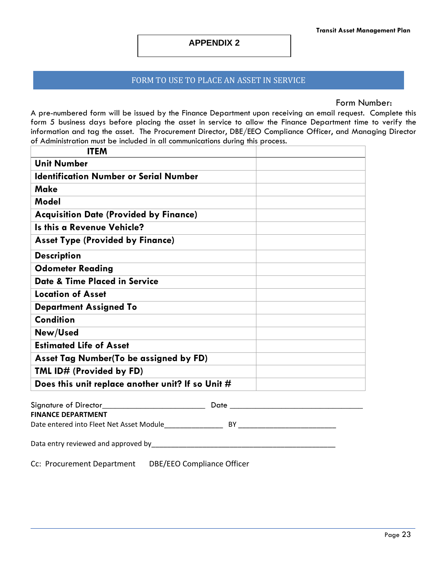#### **APPENDIX 2**

#### FORM TO USE TO PLACE AN ASSET IN SERVICE

Form Number:

A pre-numbered form will be issued by the Finance Department upon receiving an email request. Complete this form 5 business days before placing the asset in service to allow the Finance Department time to verify the information and tag the asset. The Procurement Director, DBE/EEO Compliance Officer, and Managing Director of Administration must be included in all communications during this process.

| <b>ITEM</b>                                       |  |
|---------------------------------------------------|--|
| <b>Unit Number</b>                                |  |
| <b>Identification Number or Serial Number</b>     |  |
| <b>Make</b>                                       |  |
| Model                                             |  |
| <b>Acquisition Date (Provided by Finance)</b>     |  |
| <b>Is this a Revenue Vehicle?</b>                 |  |
| <b>Asset Type (Provided by Finance)</b>           |  |
| <b>Description</b>                                |  |
| <b>Odometer Reading</b>                           |  |
| <b>Date &amp; Time Placed in Service</b>          |  |
| <b>Location of Asset</b>                          |  |
| <b>Department Assigned To</b>                     |  |
| <b>Condition</b>                                  |  |
| New/Used                                          |  |
| <b>Estimated Life of Asset</b>                    |  |
| Asset Tag Number (To be assigned by FD)           |  |
| TML ID# (Provided by FD)                          |  |
| Does this unit replace another unit? If so Unit # |  |
| Signature of Director<br>Date                     |  |

| Signature of Director                    | Date |  |
|------------------------------------------|------|--|
| <b>FINANCE DEPARTMENT</b>                |      |  |
| Date entered into Fleet Net Asset Module | BY   |  |
| Data entry reviewed and approved by      |      |  |
|                                          |      |  |

Cc: Procurement Department DBE/EEO Compliance Officer